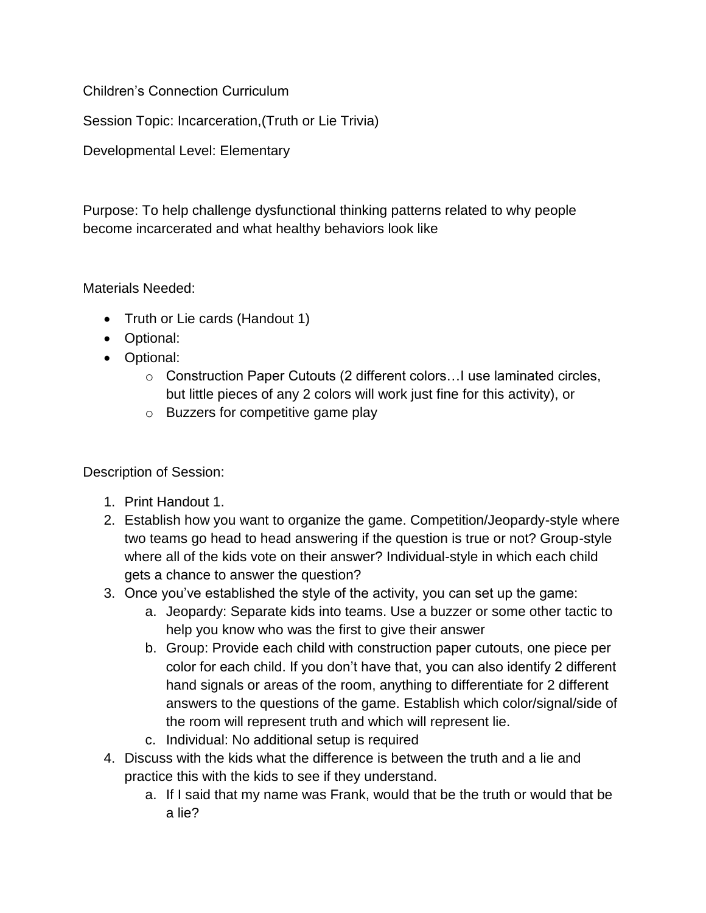Children's Connection Curriculum

Session Topic: Incarceration,(Truth or Lie Trivia)

Developmental Level: Elementary

Purpose: To help challenge dysfunctional thinking patterns related to why people become incarcerated and what healthy behaviors look like

Materials Needed:

- Truth or Lie cards (Handout 1)
- Optional:
- Optional:
	- o Construction Paper Cutouts (2 different colors…I use laminated circles, but little pieces of any 2 colors will work just fine for this activity), or
	- o Buzzers for competitive game play

Description of Session:

- 1. Print Handout 1.
- 2. Establish how you want to organize the game. Competition/Jeopardy-style where two teams go head to head answering if the question is true or not? Group-style where all of the kids vote on their answer? Individual-style in which each child gets a chance to answer the question?
- 3. Once you've established the style of the activity, you can set up the game:
	- a. Jeopardy: Separate kids into teams. Use a buzzer or some other tactic to help you know who was the first to give their answer
	- b. Group: Provide each child with construction paper cutouts, one piece per color for each child. If you don't have that, you can also identify 2 different hand signals or areas of the room, anything to differentiate for 2 different answers to the questions of the game. Establish which color/signal/side of the room will represent truth and which will represent lie.
	- c. Individual: No additional setup is required
- 4. Discuss with the kids what the difference is between the truth and a lie and practice this with the kids to see if they understand.
	- a. If I said that my name was Frank, would that be the truth or would that be a lie?